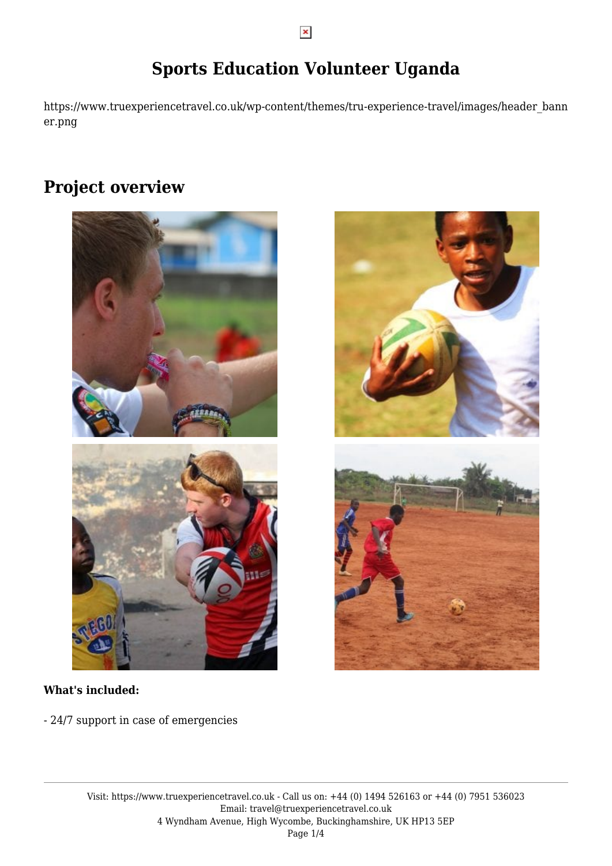## **Sports Education Volunteer Uganda**

https://www.truexperiencetravel.co.uk/wp-content/themes/tru-experience-travel/images/header\_bann er.png

## **Project overview**



### **What's included:**

- 24/7 support in case of emergencies

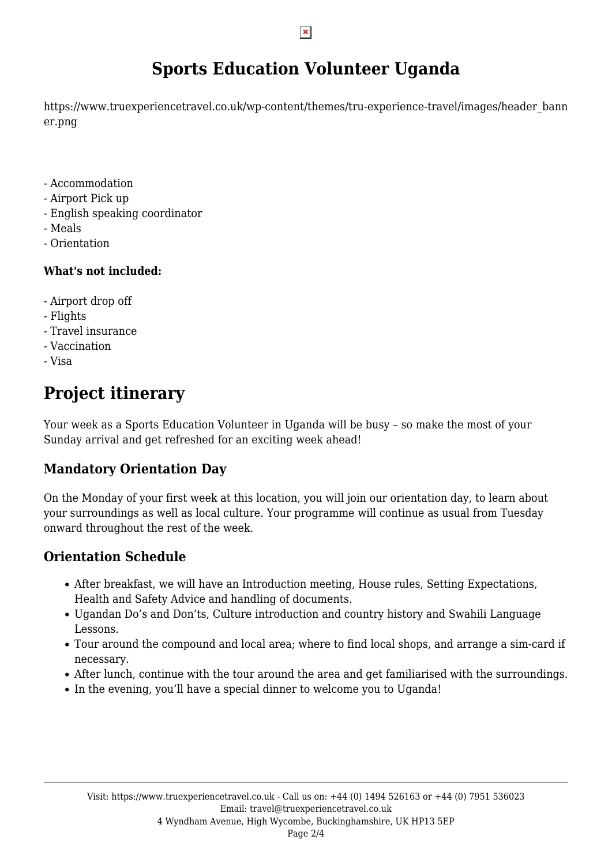## **Sports Education Volunteer Uganda**

https://www.truexperiencetravel.co.uk/wp-content/themes/tru-experience-travel/images/header\_bann er.png

- Accommodation
- Airport Pick up
- English speaking coordinator
- Meals
- Orientation

### **What's not included:**

- Airport drop off
- Flights
- Travel insurance
- Vaccination
- Visa

# **Project itinerary**

Your week as a Sports Education Volunteer in Uganda will be busy – so make the most of your Sunday arrival and get refreshed for an exciting week ahead!

## **Mandatory Orientation Day**

On the Monday of your first week at this location, you will join our orientation day, to learn about your surroundings as well as local culture. Your programme will continue as usual from Tuesday onward throughout the rest of the week.

## **Orientation Schedule**

- After breakfast, we will have an Introduction meeting, House rules, Setting Expectations, Health and Safety Advice and handling of documents.
- Ugandan Do's and Don'ts, Culture introduction and country history and Swahili Language Lessons.
- Tour around the compound and local area; where to find local shops, and arrange a sim-card if necessary.
- After lunch, continue with the tour around the area and get familiarised with the surroundings.
- In the evening, you'll have a special dinner to welcome you to Uganda!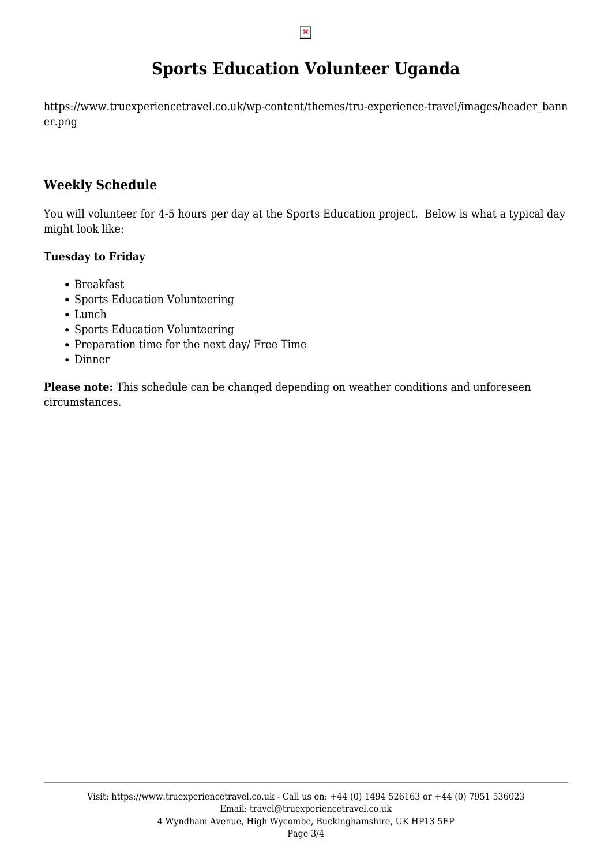## **Sports Education Volunteer Uganda**

https://www.truexperiencetravel.co.uk/wp-content/themes/tru-experience-travel/images/header\_bann er.png

## **Weekly Schedule**

You will volunteer for 4-5 hours per day at the Sports Education project. Below is what a typical day might look like:

### **Tuesday to Friday**

- Breakfast
- Sports Education Volunteering
- Lunch
- Sports Education Volunteering
- Preparation time for the next day/ Free Time
- Dinner

**Please note:** This schedule can be changed depending on weather conditions and unforeseen circumstances.